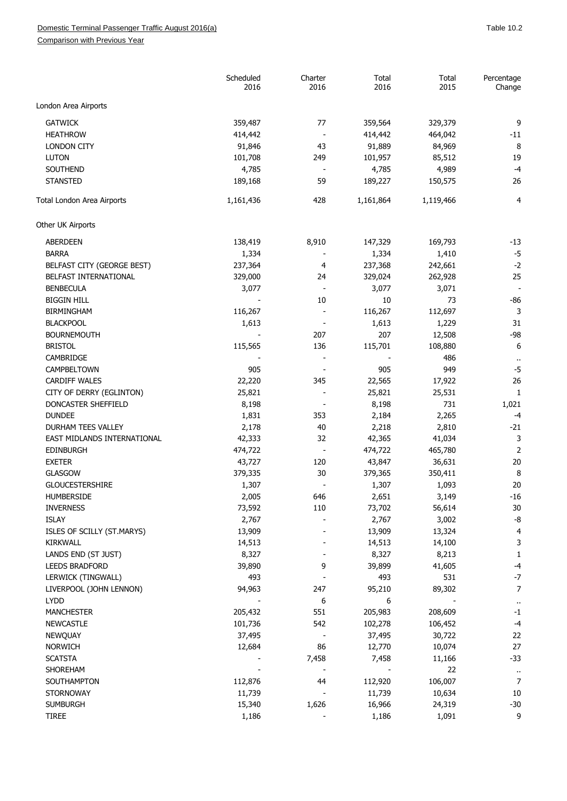## Domestic Terminal Passenger Traffic August 2016(a) and the control of the control of the control of the 10.2

Comparison with Previous Year

|                             | Scheduled<br>2016 | Charter<br>2016          | Total<br>2016 | Total<br>2015 | Percentage<br>Change |
|-----------------------------|-------------------|--------------------------|---------------|---------------|----------------------|
| London Area Airports        |                   |                          |               |               |                      |
| <b>GATWICK</b>              | 359,487           | 77                       | 359,564       | 329,379       | 9                    |
| <b>HEATHROW</b>             | 414,442           | $\overline{\phantom{a}}$ | 414,442       | 464,042       | $-11$                |
| <b>LONDON CITY</b>          | 91,846            | 43                       | 91,889        | 84,969        | 8                    |
| <b>LUTON</b>                | 101,708           | 249                      | 101,957       | 85,512        | 19                   |
| SOUTHEND                    | 4,785             | $\sim$                   | 4,785         | 4,989         | $-4$                 |
| <b>STANSTED</b>             | 189,168           | 59                       | 189,227       | 150,575       | 26                   |
| Total London Area Airports  | 1,161,436         | 428                      | 1,161,864     | 1,119,466     | 4                    |
| Other UK Airports           |                   |                          |               |               |                      |
| ABERDEEN                    | 138,419           | 8,910                    | 147,329       | 169,793       | $-13$                |
| <b>BARRA</b>                | 1,334             |                          | 1,334         | 1,410         | $-5$                 |
| BELFAST CITY (GEORGE BEST)  | 237,364           | 4                        | 237,368       | 242,661       | $-2$                 |
| BELFAST INTERNATIONAL       | 329,000           | 24                       | 329,024       | 262,928       | 25                   |
| <b>BENBECULA</b>            | 3,077             | $\overline{\phantom{a}}$ | 3,077         | 3,071         |                      |
| <b>BIGGIN HILL</b>          |                   | 10                       | 10            | 73            | $-86$                |
| <b>BIRMINGHAM</b>           | 116,267           |                          | 116,267       | 112,697       | 3                    |
| <b>BLACKPOOL</b>            | 1,613             |                          | 1,613         | 1,229         | 31                   |
| <b>BOURNEMOUTH</b>          |                   | 207                      | 207           | 12,508        | $-98$                |
| <b>BRISTOL</b>              | 115,565           | 136                      | 115,701       | 108,880       | 6                    |
| CAMBRIDGE                   |                   |                          |               | 486           | $\ddot{\phantom{1}}$ |
| CAMPBELTOWN                 | 905               |                          | 905           | 949           | $-5$                 |
| <b>CARDIFF WALES</b>        | 22,220            | 345                      | 22,565        | 17,922        | 26                   |
| CITY OF DERRY (EGLINTON)    | 25,821            |                          | 25,821        | 25,531        | 1                    |
| DONCASTER SHEFFIELD         | 8,198             |                          | 8,198         | 731           | 1,021                |
| <b>DUNDEE</b>               | 1,831             | 353                      | 2,184         | 2,265         | $-4$                 |
| DURHAM TEES VALLEY          | 2,178             | 40                       | 2,218         | 2,810         | $-21$                |
| EAST MIDLANDS INTERNATIONAL | 42,333            | 32                       | 42,365        | 41,034        | 3                    |
| <b>EDINBURGH</b>            | 474,722           |                          | 474,722       | 465,780       | $\overline{2}$       |
| <b>EXETER</b>               | 43,727            | 120                      | 43,847        | 36,631        | 20                   |
| <b>GLASGOW</b>              | 379,335           | 30                       | 379,365       | 350,411       | 8                    |
| <b>GLOUCESTERSHIRE</b>      | 1,307             |                          | 1,307         | 1,093         | 20                   |
| HUMBERSIDE                  | 2,005             | 646                      | 2,651         | 3,149         | $-16$                |
| <b>INVERNESS</b>            | 73,592            | 110                      | 73,702        | 56,614        | 30                   |
| <b>ISLAY</b>                | 2,767             |                          | 2,767         | 3,002         | -8                   |
| ISLES OF SCILLY (ST.MARYS)  | 13,909            |                          | 13,909        | 13,324        | 4                    |
| KIRKWALL                    | 14,513            |                          | 14,513        | 14,100        | 3                    |
| LANDS END (ST JUST)         | 8,327             |                          | 8,327         | 8,213         | 1                    |
| <b>LEEDS BRADFORD</b>       | 39,890            | 9                        | 39,899        | 41,605        | -4                   |
| LERWICK (TINGWALL)          | 493               |                          | 493           | 531           | $-7$                 |
| LIVERPOOL (JOHN LENNON)     | 94,963            | 247                      | 95,210        | 89,302        | 7                    |
| <b>LYDD</b>                 |                   | 6                        | 6             |               | $\ddot{\phantom{1}}$ |
| <b>MANCHESTER</b>           | 205,432           | 551                      | 205,983       | 208,609       | $-1$                 |
| <b>NEWCASTLE</b>            | 101,736           | 542                      | 102,278       | 106,452       | $-4$                 |
| NEWQUAY                     | 37,495            |                          | 37,495        | 30,722        | 22                   |
| NORWICH                     | 12,684            | 86                       | 12,770        | 10,074        | 27                   |
| <b>SCATSTA</b>              |                   | 7,458                    | 7,458         | 11,166        | $-33$                |
| SHOREHAM                    |                   |                          |               | 22            | $\cdot$              |
| SOUTHAMPTON                 | 112,876           | 44                       | 112,920       | 106,007       | 7                    |
| <b>STORNOWAY</b>            | 11,739            |                          | 11,739        | 10,634        | 10                   |
| <b>SUMBURGH</b>             | 15,340            | 1,626                    | 16,966        | 24,319        | $-30$                |
| <b>TIREE</b>                | 1,186             |                          | 1,186         | 1,091         | 9                    |